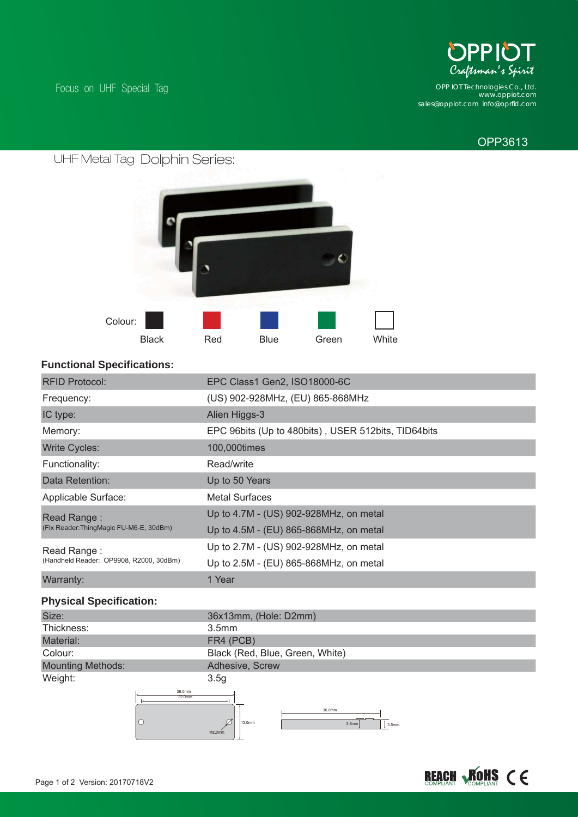

*www.oppiot.com sales@oppiot.com info@oprfi d.com OPP IOT Technologies Co., Ltd.*

## OPP3613

Focus on UHF Special Tag



#### **Functional Specifications:**

| <b>RFID Protocol:</b>                                                                            | EPC Class1 Gen2, ISO18000-6C                        |
|--------------------------------------------------------------------------------------------------|-----------------------------------------------------|
| Frequency:                                                                                       | (US) 902-928MHz, (EU) 865-868MHz                    |
| IC type:                                                                                         | Alien Higgs-3                                       |
| Memory:                                                                                          | EPC 96bits (Up to 480bits), USER 512bits, TID64bits |
| <b>Write Cycles:</b>                                                                             | 100,000times                                        |
| Functionality:                                                                                   | Read/write                                          |
| Data Retention:                                                                                  | Up to 50 Years                                      |
| Applicable Surface:                                                                              | <b>Metal Surfaces</b>                               |
| Read Range:                                                                                      | Up to 4.7M - (US) 902-928MHz, on metal              |
| (Fix Reader:ThingMagic FU-M6-E, 30dBm)<br>Read Range:<br>(Handheld Reader: OP9908, R2000, 30dBm) | Up to 4.5M - (EU) 865-868MHz, on metal              |
|                                                                                                  | Up to 2.7M - (US) 902-928MHz, on metal              |
|                                                                                                  | Up to 2.5M - (EU) 865-868MHz, on metal              |
| Warranty:                                                                                        | 1 Year                                              |

## **Physical Specification:**

| Size:             | 36x13mm, (Hole: D2mm)           |
|-------------------|---------------------------------|
| Thickness:        | 3.5 <sub>mm</sub>               |
| Material:         | FR4 (PCB)                       |
| Colour:           | Black (Red, Blue, Green, White) |
| Mounting Methods: | Adhesive, Screw                 |
| Weight:           | 3.5g                            |
| 36.0mm<br>32.0mm  | 36.0mm                          |